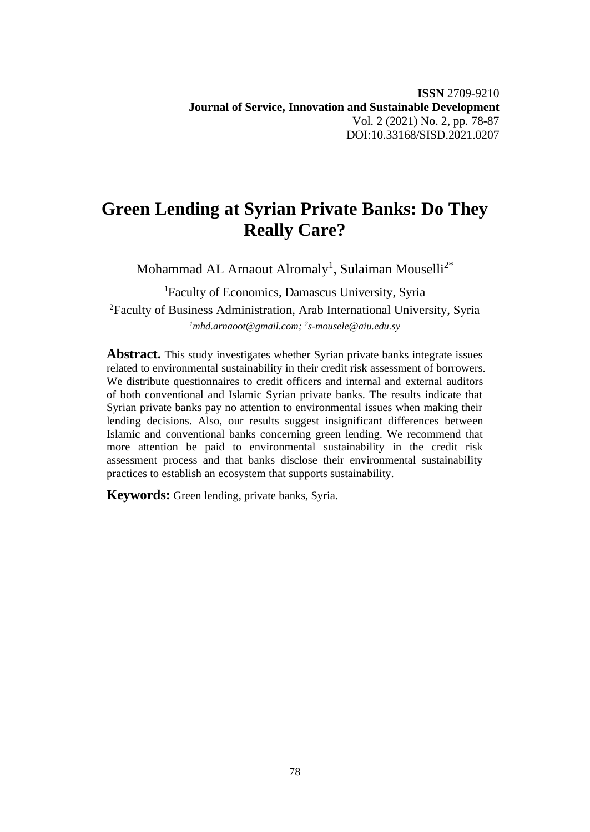# **Green Lending at Syrian Private Banks: Do They Really Care?**

Mohammad AL Arnaout Alromaly<sup>1</sup>, Sulaiman Mouselli<sup>2\*</sup>

<sup>1</sup>Faculty of Economics, Damascus University, Syria <sup>2</sup>Faculty of Business Administration, Arab International University, Syria *<sup>1</sup>mhd.arnaoot@gmail.com; <sup>2</sup> s-mousele@aiu.edu.sy*

**Abstract.** This study investigates whether Syrian private banks integrate issues related to environmental sustainability in their credit risk assessment of borrowers. We distribute questionnaires to credit officers and internal and external auditors of both conventional and Islamic Syrian private banks. The results indicate that Syrian private banks pay no attention to environmental issues when making their lending decisions. Also, our results suggest insignificant differences between Islamic and conventional banks concerning green lending. We recommend that more attention be paid to environmental sustainability in the credit risk assessment process and that banks disclose their environmental sustainability practices to establish an ecosystem that supports sustainability.

**Keywords:** Green lending, private banks, Syria.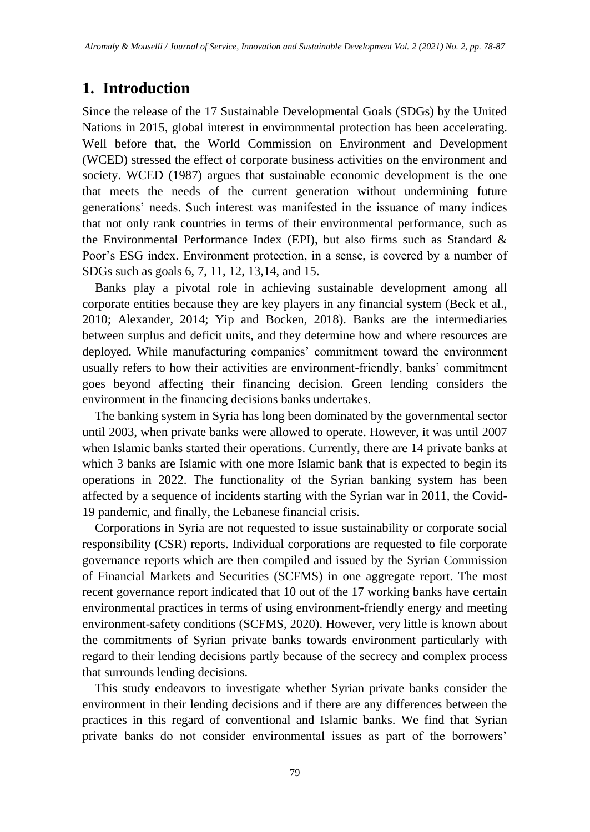#### **1. Introduction**

Since the release of the 17 Sustainable Developmental Goals (SDGs) by the United Nations in 2015, global interest in environmental protection has been accelerating. Well before that, the World Commission on Environment and Development (WCED) stressed the effect of corporate business activities on the environment and society. WCED (1987) argues that sustainable economic development is the one that meets the needs of the current generation without undermining future generations' needs. Such interest was manifested in the issuance of many indices that not only rank countries in terms of their environmental performance, such as the Environmental Performance Index (EPI), but also firms such as Standard  $\&$ Poor's ESG index. Environment protection, in a sense, is covered by a number of SDGs such as goals 6, 7, 11, 12, 13,14, and 15.

Banks play a pivotal role in achieving sustainable development among all corporate entities because they are key players in any financial system (Beck et al., 2010; Alexander, 2014; Yip and Bocken, 2018). Banks are the intermediaries between surplus and deficit units, and they determine how and where resources are deployed. While manufacturing companies' commitment toward the environment usually refers to how their activities are environment-friendly, banks' commitment goes beyond affecting their financing decision. Green lending considers the environment in the financing decisions banks undertakes.

The banking system in Syria has long been dominated by the governmental sector until 2003, when private banks were allowed to operate. However, it was until 2007 when Islamic banks started their operations. Currently, there are 14 private banks at which 3 banks are Islamic with one more Islamic bank that is expected to begin its operations in 2022. The functionality of the Syrian banking system has been affected by a sequence of incidents starting with the Syrian war in 2011, the Covid-19 pandemic, and finally, the Lebanese financial crisis.

Corporations in Syria are not requested to issue sustainability or corporate social responsibility (CSR) reports. Individual corporations are requested to file corporate governance reports which are then compiled and issued by the Syrian Commission of Financial Markets and Securities (SCFMS) in one aggregate report. The most recent governance report indicated that 10 out of the 17 working banks have certain environmental practices in terms of using environment-friendly energy and meeting environment-safety conditions (SCFMS, 2020). However, very little is known about the commitments of Syrian private banks towards environment particularly with regard to their lending decisions partly because of the secrecy and complex process that surrounds lending decisions.

This study endeavors to investigate whether Syrian private banks consider the environment in their lending decisions and if there are any differences between the practices in this regard of conventional and Islamic banks. We find that Syrian private banks do not consider environmental issues as part of the borrowers'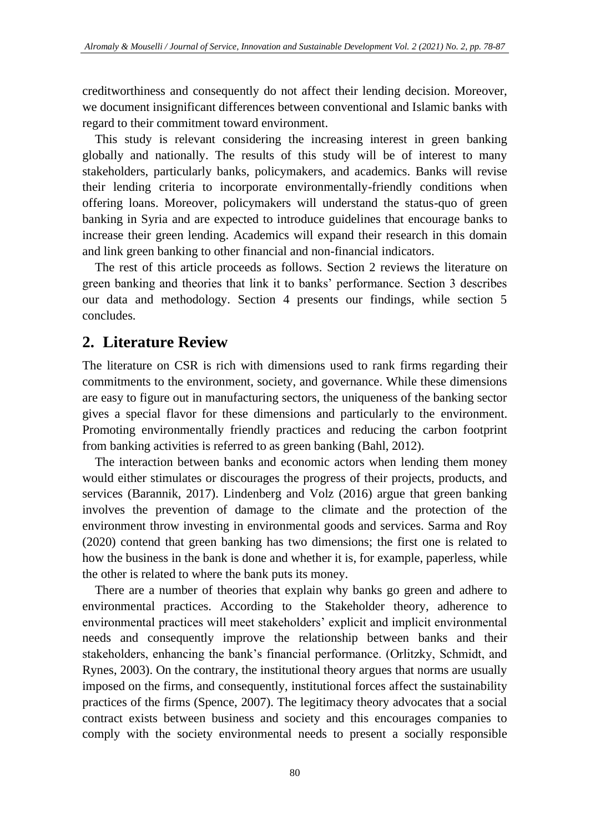creditworthiness and consequently do not affect their lending decision. Moreover, we document insignificant differences between conventional and Islamic banks with regard to their commitment toward environment.

This study is relevant considering the increasing interest in green banking globally and nationally. The results of this study will be of interest to many stakeholders, particularly banks, policymakers, and academics. Banks will revise their lending criteria to incorporate environmentally-friendly conditions when offering loans. Moreover, policymakers will understand the status-quo of green banking in Syria and are expected to introduce guidelines that encourage banks to increase their green lending. Academics will expand their research in this domain and link green banking to other financial and non-financial indicators.

The rest of this article proceeds as follows. Section 2 reviews the literature on green banking and theories that link it to banks' performance. Section 3 describes our data and methodology. Section 4 presents our findings, while section 5 concludes.

### **2. Literature Review**

The literature on CSR is rich with dimensions used to rank firms regarding their commitments to the environment, society, and governance. While these dimensions are easy to figure out in manufacturing sectors, the uniqueness of the banking sector gives a special flavor for these dimensions and particularly to the environment. Promoting environmentally friendly practices and reducing the carbon footprint from banking activities is referred to as green banking (Bahl, 2012).

The interaction between banks and economic actors when lending them money would either stimulates or discourages the progress of their projects, products, and services (Barannik, 2017). Lindenberg and Volz (2016) argue that green banking involves the prevention of damage to the climate and the protection of the environment throw investing in environmental goods and services. Sarma and Roy (2020) contend that green banking has two dimensions; the first one is related to how the business in the bank is done and whether it is, for example, paperless, while the other is related to where the bank puts its money.

There are a number of theories that explain why banks go green and adhere to environmental practices. According to the Stakeholder theory, adherence to environmental practices will meet stakeholders' explicit and implicit environmental needs and consequently improve the relationship between banks and their stakeholders, enhancing the bank's financial performance. (Orlitzky, Schmidt, and Rynes, 2003). On the contrary, the institutional theory argues that norms are usually imposed on the firms, and consequently, institutional forces affect the sustainability practices of the firms (Spence, 2007). The legitimacy theory advocates that a social contract exists between business and society and this encourages companies to comply with the society environmental needs to present a socially responsible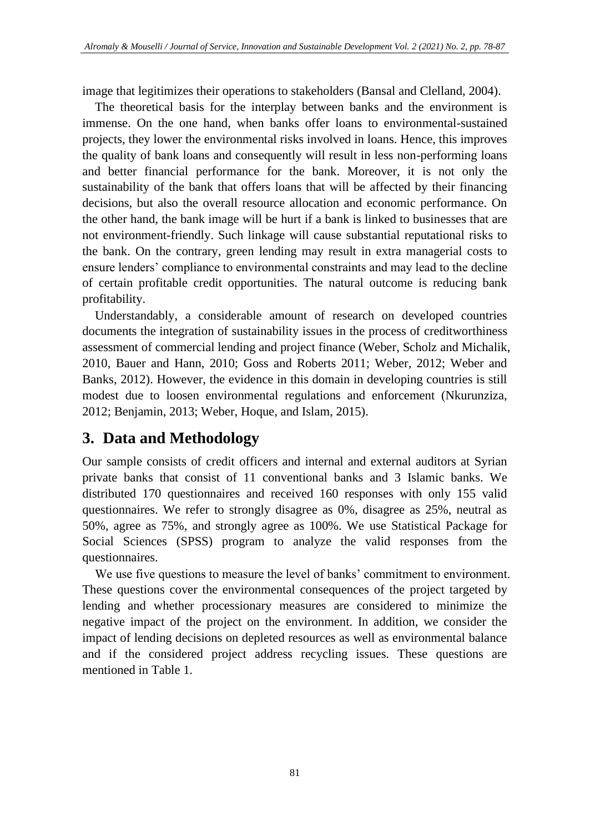image that legitimizes their operations to stakeholders (Bansal and Clelland, 2004).

The theoretical basis for the interplay between banks and the environment is immense. On the one hand, when banks offer loans to environmental-sustained projects, they lower the environmental risks involved in loans. Hence, this improves the quality of bank loans and consequently will result in less non-performing loans and better financial performance for the bank. Moreover, it is not only the sustainability of the bank that offers loans that will be affected by their financing decisions, but also the overall resource allocation and economic performance. On the other hand, the bank image will be hurt if a bank is linked to businesses that are not environment-friendly. Such linkage will cause substantial reputational risks to the bank. On the contrary, green lending may result in extra managerial costs to ensure lenders' compliance to environmental constraints and may lead to the decline of certain profitable credit opportunities. The natural outcome is reducing bank profitability.

Understandably, a considerable amount of research on developed countries documents the integration of sustainability issues in the process of creditworthiness assessment of commercial lending and project finance (Weber, Scholz and Michalik, 2010, Bauer and Hann, 2010; Goss and Roberts 2011; Weber, 2012; Weber and Banks, 2012). However, the evidence in this domain in developing countries is still modest due to loosen environmental regulations and enforcement (Nkurunziza, 2012; Benjamin, 2013; Weber, Hoque, and Islam, 2015).

## **3. Data and Methodology**

Our sample consists of credit officers and internal and external auditors at Syrian private banks that consist of 11 conventional banks and 3 Islamic banks. We distributed 170 questionnaires and received 160 responses with only 155 valid questionnaires. We refer to strongly disagree as 0%, disagree as 25%, neutral as 50%, agree as 75%, and strongly agree as 100%. We use Statistical Package for Social Sciences (SPSS) program to analyze the valid responses from the questionnaires.

We use five questions to measure the level of banks' commitment to environment. These questions cover the environmental consequences of the project targeted by lending and whether processionary measures are considered to minimize the negative impact of the project on the environment. In addition, we consider the impact of lending decisions on depleted resources as well as environmental balance and if the considered project address recycling issues. These questions are mentioned in Table 1.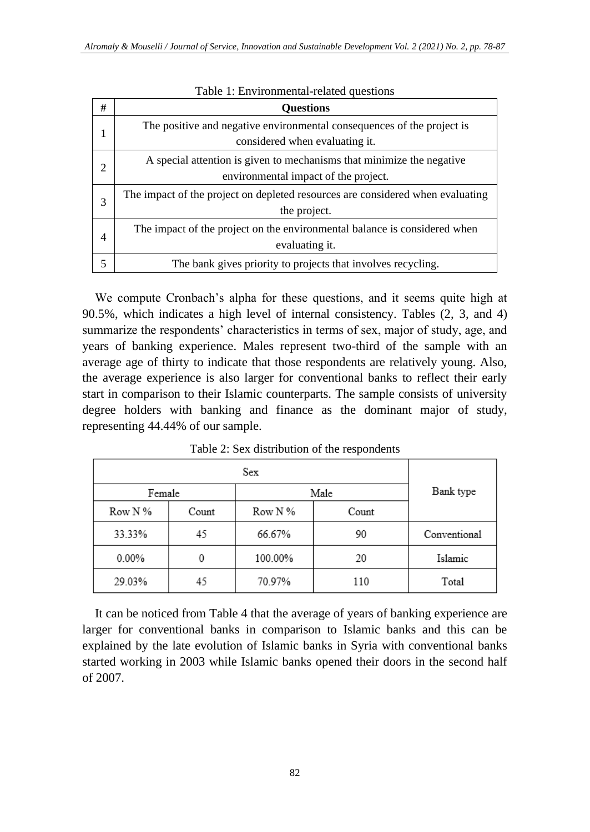| # | <b>Ouestions</b>                                                               |
|---|--------------------------------------------------------------------------------|
|   | The positive and negative environmental consequences of the project is         |
|   | considered when evaluating it.                                                 |
| 2 | A special attention is given to mechanisms that minimize the negative          |
|   | environmental impact of the project.                                           |
| 3 | The impact of the project on depleted resources are considered when evaluating |
|   | the project.                                                                   |
|   | The impact of the project on the environmental balance is considered when      |
| 4 | evaluating it.                                                                 |
|   | The bank gives priority to projects that involves recycling.                   |

Table 1: Environmental-related questions

We compute Cronbach's alpha for these questions, and it seems quite high at 90.5%, which indicates a high level of internal consistency. Tables (2, 3, and 4) summarize the respondents' characteristics in terms of sex, major of study, age, and years of banking experience. Males represent two-third of the sample with an average age of thirty to indicate that those respondents are relatively young. Also, the average experience is also larger for conventional banks to reflect their early start in comparison to their Islamic counterparts. The sample consists of university degree holders with banking and finance as the dominant major of study, representing 44.44% of our sample.

|              |                           | Sex     |           |              |  |
|--------------|---------------------------|---------|-----------|--------------|--|
| Female       |                           | Male    | Bank type |              |  |
| Row N %      | Row N %<br>Count<br>Count |         |           |              |  |
| 33.33%<br>45 |                           | 66.67%  | 90        | Conventional |  |
| $0.00\%$     | 0                         | 100.00% | 20        | Islamic      |  |
| 29.03%       | 45                        | 70.97%  | 110       | Total        |  |

Table 2: Sex distribution of the respondents

It can be noticed from Table 4 that the average of years of banking experience are larger for conventional banks in comparison to Islamic banks and this can be explained by the late evolution of Islamic banks in Syria with conventional banks started working in 2003 while Islamic banks opened their doors in the second half of 2007.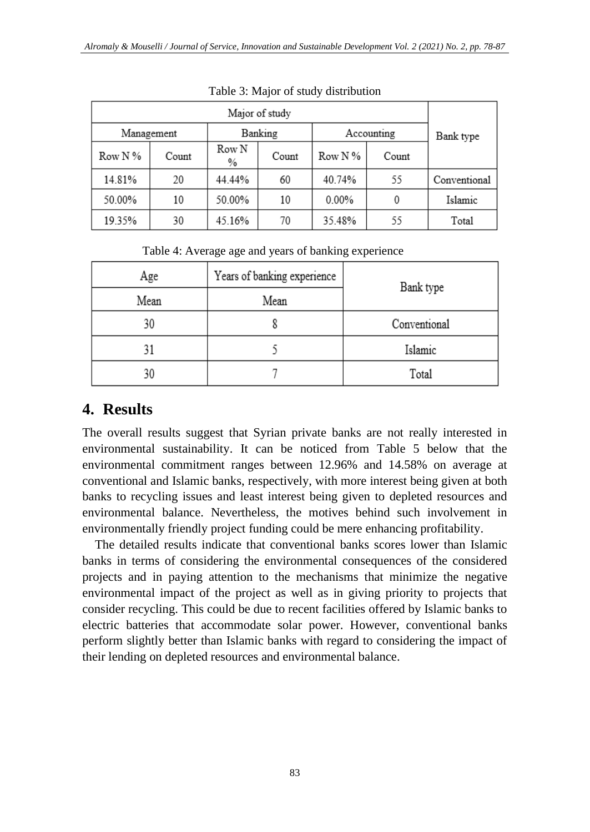|           | Banking<br>Accounting<br>Management |            |       |            |       |              |  |  |
|-----------|-------------------------------------|------------|-------|------------|-------|--------------|--|--|
| Row N $%$ | Count                               | Row N<br>% | Count | Row N $\%$ | Count | Bank type    |  |  |
| 14.81%    | 20                                  | 44.44%     | 60    | 40.74%     | 55    | Conventional |  |  |
| 50.00%    | 10                                  | 50.00%     | 10    | $0.00\%$   | 0     | Islamic      |  |  |
| 19.35%    | 30                                  | 45.16%     | 70    | 35.48%     | 55    | Total        |  |  |

Table 3: Major of study distribution

Table 4: Average age and years of banking experience

| Age  | Years of banking experience | Bank type    |  |  |
|------|-----------------------------|--------------|--|--|
| Mean | Mean                        |              |  |  |
| 30   |                             | Conventional |  |  |
| 31   |                             | Islamic      |  |  |
| 30   |                             | Total        |  |  |

## **4. Results**

The overall results suggest that Syrian private banks are not really interested in environmental sustainability. It can be noticed from Table 5 below that the environmental commitment ranges between 12.96% and 14.58% on average at conventional and Islamic banks, respectively, with more interest being given at both banks to recycling issues and least interest being given to depleted resources and environmental balance. Nevertheless, the motives behind such involvement in environmentally friendly project funding could be mere enhancing profitability.

The detailed results indicate that conventional banks scores lower than Islamic banks in terms of considering the environmental consequences of the considered projects and in paying attention to the mechanisms that minimize the negative environmental impact of the project as well as in giving priority to projects that consider recycling. This could be due to recent facilities offered by Islamic banks to electric batteries that accommodate solar power. However, conventional banks perform slightly better than Islamic banks with regard to considering the impact of their lending on depleted resources and environmental balance.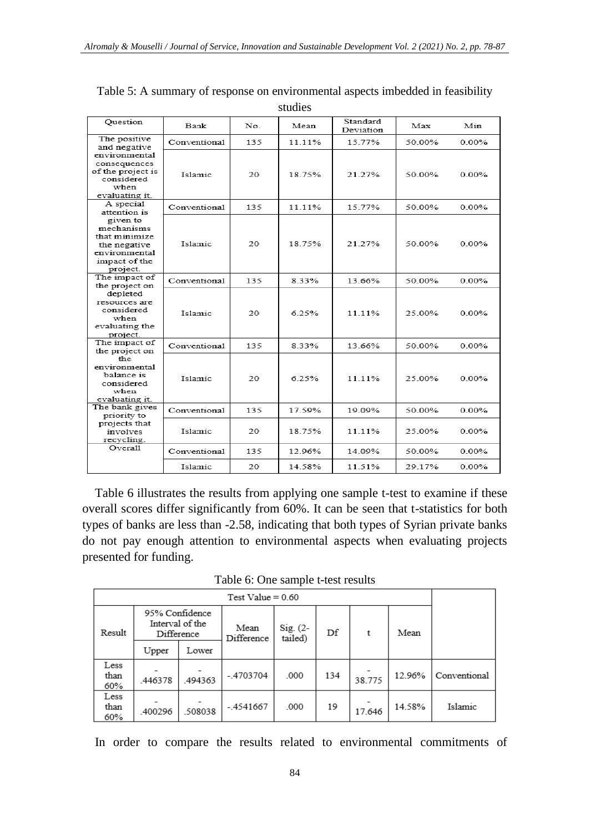| <b>Question</b>                                                                                       | <b>Bank</b>    | No  | Mean   | Standard<br>Deviation | Max    | Min      |
|-------------------------------------------------------------------------------------------------------|----------------|-----|--------|-----------------------|--------|----------|
| The positive<br>and negative                                                                          | Conventional   | 135 | 11.11% | 15.77%                | 50.00% | $0.00\%$ |
| environmental<br>consequences<br>of the project is<br>considered<br>when<br>evaluating it.            | <b>Islamic</b> | 20  | 18.75% | 21.27%                | 50.00% | 0.00%    |
| A special<br>attention is                                                                             | Conventional   | 135 | 11.11% | 15.77%                | 50.00% | $0.00\%$ |
| given to<br>mechanisms<br>that minimize<br>the negative<br>environmental<br>impact of the<br>project. | Islamic.       | 20. | 18.75% | 21 27%                | 50.00% | 0.00%    |
| The impact of<br>the project on                                                                       | Conventional   | 135 | 8.33%  | 13.66%                | 50.00% | 0.00%    |
| depleted<br>resources are<br>considered<br>when<br>evaluating the<br>project.                         | Islamic        | 20  | 6.25%  | 11.11%                | 25.00% | $0.00\%$ |
| The impact of<br>the project on                                                                       | Conventional   | 135 | 833%   | 13 66%                | 50.00% | 0.00%    |
| the<br>environmental<br>balance is<br>considered<br>when<br>evaluating it.                            | <b>Islamic</b> | 20  | 6.25%  | 11.11%                | 25.00% | $0.00\%$ |
| The bank gives<br>priority to                                                                         | Conventional   | 135 | 17.59% | 19.09%                | 50.00% | 0.00%    |
| projects that<br>involves<br>recycling.                                                               | Islamic        | 20  | 18.75% | 11.11%                | 25.00% | 0.00%    |
| Overall                                                                                               | Conventional   | 135 | 12.96% | 14.09%                | 50.00% | $0.00\%$ |
|                                                                                                       | Islamic        | 20  | 14.58% | 11.51%                | 29.17% | $0.00\%$ |

Table 5: A summary of response on environmental aspects imbedded in feasibility studies

Table 6 illustrates the results from applying one sample t-test to examine if these overall scores differ significantly from 60%. It can be seen that t-statistics for both types of banks are less than -2.58, indicating that both types of Syrian private banks do not pay enough attention to environmental aspects when evaluating projects presented for funding.

Table 6: One sample t-test results

| Result              | 95% Confidence<br>Difference | Interval of the | Mean<br>Difference | $Sig. (2 -$<br>tailed) | Df  | t      | Mean   |              |
|---------------------|------------------------------|-----------------|--------------------|------------------------|-----|--------|--------|--------------|
|                     | Upper                        | Lower           |                    |                        |     |        |        |              |
| Less<br>than<br>60% | .446378                      | .494363         | $-.4703704$        | .000                   | 134 | 38.775 | 12.96% | Conventional |
| Less<br>than<br>60% | .400296                      | 508038          | $-4541667$         | .000                   | 19  | 17.646 | 14.58% | Islamic      |

In order to compare the results related to environmental commitments of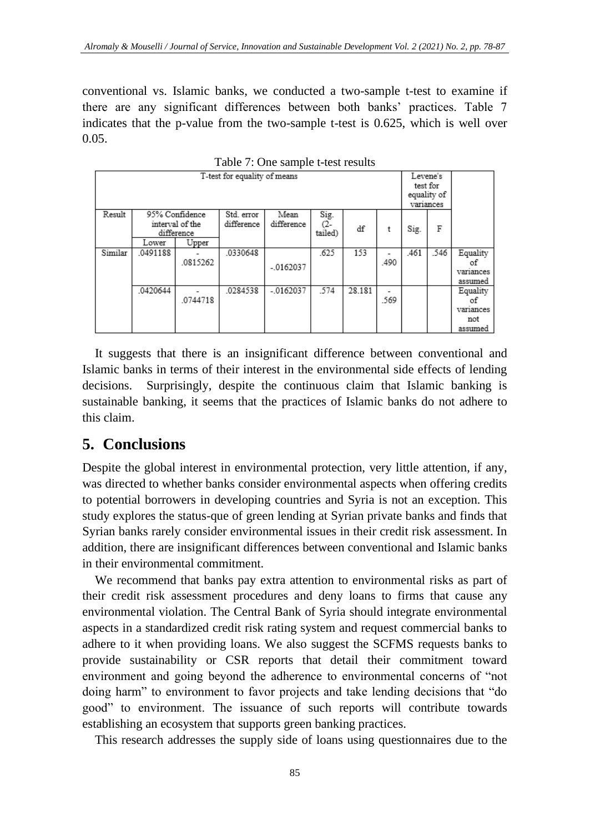conventional vs. Islamic banks, we conducted a two-sample t-test to examine if there are any significant differences between both banks' practices. Table 7 indicates that the p-value from the two-sample t-test is 0.625, which is well over 0.05.

| T-test for equality of means |          |                                                          |                          |                    |                        |        |           |      | Levene's<br>test for<br>equality of<br>variances |                                               |  |
|------------------------------|----------|----------------------------------------------------------|--------------------------|--------------------|------------------------|--------|-----------|------|--------------------------------------------------|-----------------------------------------------|--|
| Result                       | Lower    | 95% Confidence<br>interval of the<br>difference<br>Upper | Std. error<br>difference | Mean<br>difference | Sig.<br>C2-<br>tailed) | df     | t         | Sig. | F                                                |                                               |  |
|                              |          |                                                          |                          |                    |                        |        |           |      |                                                  |                                               |  |
| Similar                      | 0491188  | .0815262                                                 | 0330648                  | $-.0162037$        | .625                   | 153    | .490      | .461 | .546                                             | Equality<br>οf<br>variances<br>assumed        |  |
|                              | .0420644 | .0744718                                                 | 0284538                  | $-0162037$         | 574                    | 28.181 | ۰<br>.569 |      |                                                  | Equality<br>оf<br>variances<br>not<br>assumed |  |

Table 7: One sample t-test results

It suggests that there is an insignificant difference between conventional and Islamic banks in terms of their interest in the environmental side effects of lending decisions. Surprisingly, despite the continuous claim that Islamic banking is sustainable banking, it seems that the practices of Islamic banks do not adhere to this claim.

### **5. Conclusions**

Despite the global interest in environmental protection, very little attention, if any, was directed to whether banks consider environmental aspects when offering credits to potential borrowers in developing countries and Syria is not an exception. This study explores the status-que of green lending at Syrian private banks and finds that Syrian banks rarely consider environmental issues in their credit risk assessment. In addition, there are insignificant differences between conventional and Islamic banks in their environmental commitment.

We recommend that banks pay extra attention to environmental risks as part of their credit risk assessment procedures and deny loans to firms that cause any environmental violation. The Central Bank of Syria should integrate environmental aspects in a standardized credit risk rating system and request commercial banks to adhere to it when providing loans. We also suggest the SCFMS requests banks to provide sustainability or CSR reports that detail their commitment toward environment and going beyond the adherence to environmental concerns of "not doing harm" to environment to favor projects and take lending decisions that "do good" to environment. The issuance of such reports will contribute towards establishing an ecosystem that supports green banking practices.

This research addresses the supply side of loans using questionnaires due to the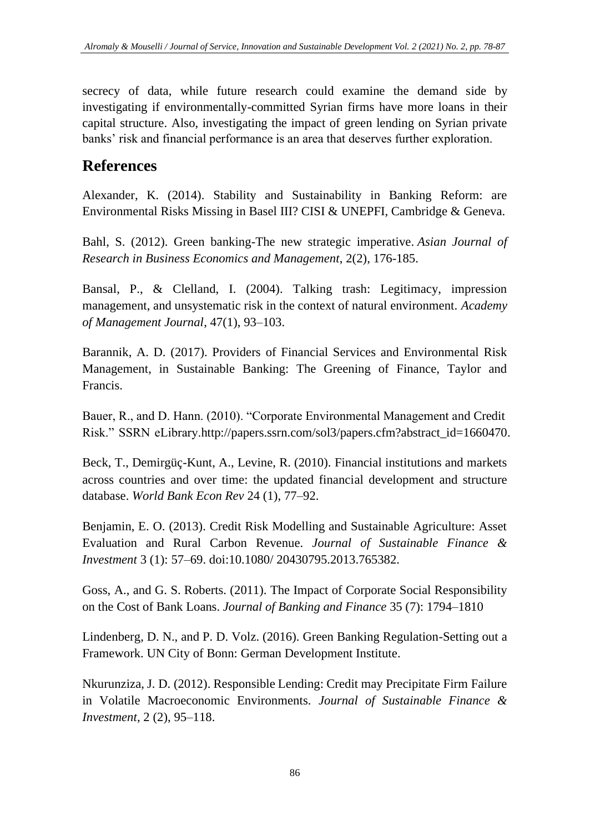secrecy of data, while future research could examine the demand side by investigating if environmentally-committed Syrian firms have more loans in their capital structure. Also, investigating the impact of green lending on Syrian private banks' risk and financial performance is an area that deserves further exploration.

## **References**

Alexander, K. (2014). Stability and Sustainability in Banking Reform: are Environmental Risks Missing in Basel III? CISI & UNEPFI, Cambridge & Geneva.

Bahl, S. (2012). Green banking-The new strategic imperative. *Asian Journal of Research in Business Economics and Management*, 2(2), 176-185.

Bansal, P., & Clelland, I. (2004). Talking trash: Legitimacy, impression management, and unsystematic risk in the context of natural environment. *Academy of Management Journal*, 47(1), 93–103.

Barannik, A. D. (2017). Providers of Financial Services and Environmental Risk Management, in Sustainable Banking: The Greening of Finance, Taylor and Francis.

Bauer, R., and D. Hann. (2010). "Corporate Environmental Management and Credit Risk." SSRN eLibrary[.http://papers.ssrn.com/sol3/papers.cfm?abstract\\_id=1660470.](http://papers.ssrn.com/sol3/papers.cfm?abstract_id=1660470)

Beck, T., Demirgüç-Kunt, A., Levine, R. (2010). Financial institutions and markets across countries and over time: the updated financial development and structure database. *World Bank Econ Rev* 24 (1), 77–92.

Benjamin, E. O. (2013). Credit Risk Modelling and Sustainable Agriculture: Asset Evaluation and Rural Carbon Revenue. *Journal of Sustainable Finance & Investment* 3 (1): 57–69. doi:10.1080/ 20430795.2013.765382.

Goss, A., and G. S. Roberts. (2011). The Impact of Corporate Social Responsibility on the Cost of Bank Loans. *Journal of Banking and Finance* 35 (7): 1794–1810

Lindenberg, D. N., and P. D. Volz. (2016). Green Banking Regulation-Setting out a Framework. UN City of Bonn: German Development Institute.

Nkurunziza, J. D. (2012). Responsible Lending: Credit may Precipitate Firm Failure in Volatile Macroeconomic Environments. *Journal of Sustainable Finance & Investment*, 2 (2), 95–118.